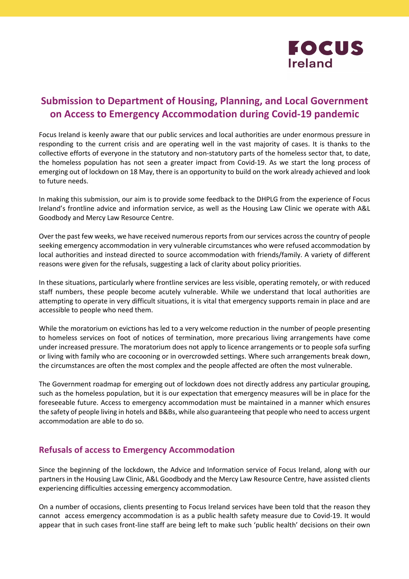

# **Submission to Department of Housing, Planning, and Local Government on Access to Emergency Accommodation during Covid-19 pandemic**

Focus Ireland is keenly aware that our public services and local authorities are under enormous pressure in responding to the current crisis and are operating well in the vast majority of cases. It is thanks to the collective efforts of everyone in the statutory and non-statutory parts of the homeless sector that, to date, the homeless population has not seen a greater impact from Covid-19. As we start the long process of emerging out of lockdown on 18 May, there is an opportunity to build on the work already achieved and look to future needs.

In making this submission, our aim is to provide some feedback to the DHPLG from the experience of Focus Ireland's frontline advice and information service, as well as the Housing Law Clinic we operate with A&L Goodbody and Mercy Law Resource Centre.

Over the past few weeks, we have received numerous reports from our services across the country of people seeking emergency accommodation in very vulnerable circumstances who were refused accommodation by local authorities and instead directed to source accommodation with friends/family. A variety of different reasons were given for the refusals, suggesting a lack of clarity about policy priorities.

In these situations, particularly where frontline services are less visible, operating remotely, or with reduced staff numbers, these people become acutely vulnerable. While we understand that local authorities are attempting to operate in very difficult situations, it is vital that emergency supports remain in place and are accessible to people who need them.

While the moratorium on evictions has led to a very welcome reduction in the number of people presenting to homeless services on foot of notices of termination, more precarious living arrangements have come under increased pressure. The moratorium does not apply to licence arrangements or to people sofa surfing or living with family who are cocooning or in overcrowded settings. Where such arrangements break down, the circumstances are often the most complex and the people affected are often the most vulnerable.

The Government roadmap for emerging out of lockdown does not directly address any particular grouping, such as the homeless population, but it is our expectation that emergency measures will be in place for the foreseeable future. Access to emergency accommodation must be maintained in a manner which ensures the safety of people living in hotels and B&Bs, while also guaranteeing that people who need to access urgent accommodation are able to do so.

### **Refusals of access to Emergency Accommodation**

Since the beginning of the lockdown, the Advice and Information service of Focus Ireland, along with our partners in the Housing Law Clinic, A&L Goodbody and the Mercy Law Resource Centre, have assisted clients experiencing difficulties accessing emergency accommodation.

On a number of occasions, clients presenting to Focus Ireland services have been told that the reason they cannot access emergency accommodation is as a public health safety measure due to Covid-19. It would appear that in such cases front-line staff are being left to make such 'public health' decisions on their own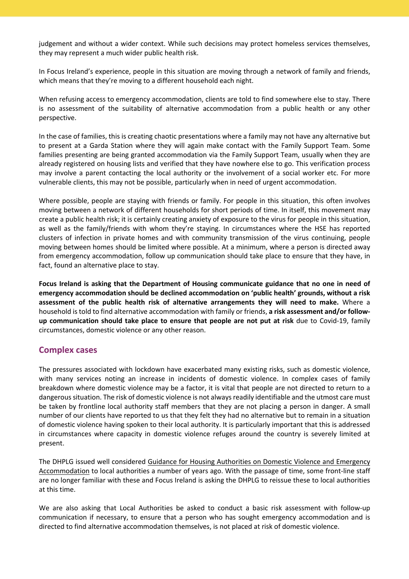judgement and without a wider context. While such decisions may protect homeless services themselves, they may represent a much wider public health risk.

In Focus Ireland's experience, people in this situation are moving through a network of family and friends, which means that they're moving to a different household each night.

When refusing access to emergency accommodation, clients are told to find somewhere else to stay. There is no assessment of the suitability of alternative accommodation from a public health or any other perspective.

In the case of families, this is creating chaotic presentations where a family may not have any alternative but to present at a Garda Station where they will again make contact with the Family Support Team. Some families presenting are being granted accommodation via the Family Support Team, usually when they are already registered on housing lists and verified that they have nowhere else to go. This verification process may involve a parent contacting the local authority or the involvement of a social worker etc. For more vulnerable clients, this may not be possible, particularly when in need of urgent accommodation.

Where possible, people are staying with friends or family. For people in this situation, this often involves moving between a network of different households for short periods of time. In itself, this movement may create a public health risk; it is certainly creating anxiety of exposure to the virus for people in this situation, as well as the family/friends with whom they're staying. In circumstances where the HSE has reported clusters of infection in private homes and with community transmission of the virus continuing, people moving between homes should be limited where possible. At a minimum, where a person is directed away from emergency accommodation, follow up communication should take place to ensure that they have, in fact, found an alternative place to stay.

**Focus Ireland is asking that the Department of Housing communicate guidance that no one in need of emergency accommodation should be declined accommodation on 'public health' grounds, without a risk assessment of the public health risk of alternative arrangements they will need to make.** Where a household is told to find alternative accommodation with family or friends, **a risk assessment and/or followup communication should take place to ensure that people are not put at risk** due to Covid-19, family circumstances, domestic violence or any other reason.

### **Complex cases**

The pressures associated with lockdown have exacerbated many existing risks, such as domestic violence, with many services noting an increase in incidents of domestic violence. In complex cases of family breakdown where domestic violence may be a factor, it is vital that people are not directed to return to a dangerous situation. The risk of domestic violence is not always readily identifiable and the utmost care must be taken by frontline local authority staff members that they are not placing a person in danger. A small number of our clients have reported to us that they felt they had no alternative but to remain in a situation of domestic violence having spoken to their local authority. It is particularly important that this is addressed in circumstances where capacity in domestic violence refuges around the country is severely limited at present.

The DHPLG issued well considered Guidance for Housing Authorities on Domestic Violence and Emergency Accommodation to local authorities a number of years ago. With the passage of time, some front-line staff are no longer familiar with these and Focus Ireland is asking the DHPLG to reissue these to local authorities at this time.

We are also asking that Local Authorities be asked to conduct a basic risk assessment with follow-up communication if necessary, to ensure that a person who has sought emergency accommodation and is directed to find alternative accommodation themselves, is not placed at risk of domestic violence.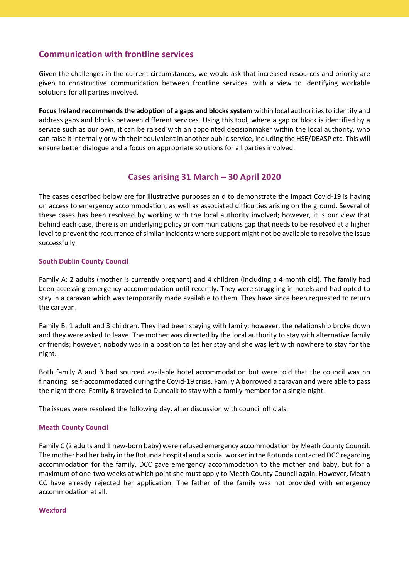## **Communication with frontline services**

Given the challenges in the current circumstances, we would ask that increased resources and priority are given to constructive communication between frontline services, with a view to identifying workable solutions for all parties involved.

**Focus Ireland recommends the adoption of a gaps and blocks system** within local authorities to identify and address gaps and blocks between different services. Using this tool, where a gap or block is identified by a service such as our own, it can be raised with an appointed decisionmaker within the local authority, who can raise it internally or with their equivalent in another public service, including the HSE/DEASP etc. This will ensure better dialogue and a focus on appropriate solutions for all parties involved.

# **Cases arising 31 March – 30 April 2020**

The cases described below are for illustrative purposes an d to demonstrate the impact Covid-19 is having on access to emergency accommodation, as well as associated difficulties arising on the ground. Several of these cases has been resolved by working with the local authority involved; however, it is our view that behind each case, there is an underlying policy or communications gap that needs to be resolved at a higher level to prevent the recurrence of similar incidents where support might not be available to resolve the issue successfully.

#### **South Dublin County Council**

Family A: 2 adults (mother is currently pregnant) and 4 children (including a 4 month old). The family had been accessing emergency accommodation until recently. They were struggling in hotels and had opted to stay in a caravan which was temporarily made available to them. They have since been requested to return the caravan.

Family B: 1 adult and 3 children. They had been staying with family; however, the relationship broke down and they were asked to leave. The mother was directed by the local authority to stay with alternative family or friends; however, nobody was in a position to let her stay and she was left with nowhere to stay for the night.

Both family A and B had sourced available hotel accommodation but were told that the council was no financing self-accommodated during the Covid-19 crisis. Family A borrowed a caravan and were able to pass the night there. Family B travelled to Dundalk to stay with a family member for a single night.

The issues were resolved the following day, after discussion with council officials.

#### **Meath County Council**

Family C (2 adults and 1 new-born baby) were refused emergency accommodation by Meath County Council. The mother had her baby in the Rotunda hospital and a social worker in the Rotunda contacted DCC regarding accommodation for the family. DCC gave emergency accommodation to the mother and baby, but for a maximum of one-two weeks at which point she must apply to Meath County Council again. However, Meath CC have already rejected her application. The father of the family was not provided with emergency accommodation at all.

#### **Wexford**